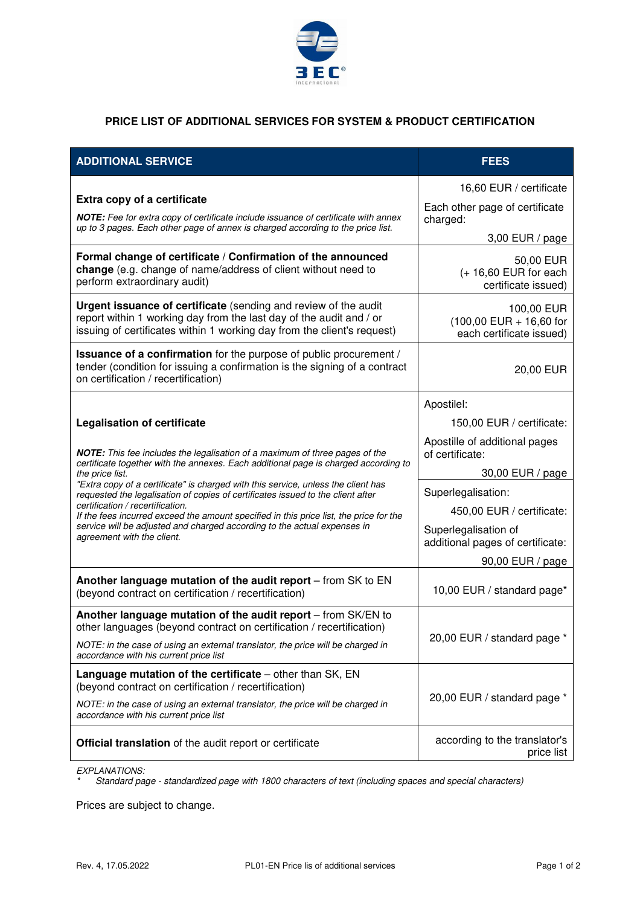

## **PRICE LIST OF ADDITIONAL SERVICES FOR SYSTEM & PRODUCT CERTIFICATION**

| <b>ADDITIONAL SERVICE</b>                                                                                                                                                                                                                                                                                                                                                                                                                                                                                                                                                                                                                   | <b>FEES</b>                                                                                |
|---------------------------------------------------------------------------------------------------------------------------------------------------------------------------------------------------------------------------------------------------------------------------------------------------------------------------------------------------------------------------------------------------------------------------------------------------------------------------------------------------------------------------------------------------------------------------------------------------------------------------------------------|--------------------------------------------------------------------------------------------|
| Extra copy of a certificate<br>NOTE: Fee for extra copy of certificate include issuance of certificate with annex<br>up to 3 pages. Each other page of annex is charged according to the price list.                                                                                                                                                                                                                                                                                                                                                                                                                                        | 16,60 EUR / certificate<br>Each other page of certificate<br>charged:<br>$3,00$ EUR / page |
| Formal change of certificate / Confirmation of the announced<br>change (e.g. change of name/address of client without need to<br>perform extraordinary audit)                                                                                                                                                                                                                                                                                                                                                                                                                                                                               | 50,00 EUR<br>$(+ 16,60$ EUR for each<br>certificate issued)                                |
| Urgent issuance of certificate (sending and review of the audit<br>report within 1 working day from the last day of the audit and / or<br>issuing of certificates within 1 working day from the client's request)                                                                                                                                                                                                                                                                                                                                                                                                                           | 100,00 EUR<br>$(100,00$ EUR + 16,60 for<br>each certificate issued)                        |
| <b>Issuance of a confirmation</b> for the purpose of public procurement /<br>tender (condition for issuing a confirmation is the signing of a contract<br>on certification / recertification)                                                                                                                                                                                                                                                                                                                                                                                                                                               | 20,00 EUR                                                                                  |
| <b>Legalisation of certificate</b><br>NOTE: This fee includes the legalisation of a maximum of three pages of the<br>certificate together with the annexes. Each additional page is charged according to<br>the price list.<br>"Extra copy of a certificate" is charged with this service, unless the client has<br>requested the legalisation of copies of certificates issued to the client after<br>certification / recertification.<br>If the fees incurred exceed the amount specified in this price list, the price for the<br>service will be adjusted and charged according to the actual expenses in<br>agreement with the client. | Apostilel:                                                                                 |
|                                                                                                                                                                                                                                                                                                                                                                                                                                                                                                                                                                                                                                             | 150,00 EUR / certificate:                                                                  |
|                                                                                                                                                                                                                                                                                                                                                                                                                                                                                                                                                                                                                                             | Apostille of additional pages<br>of certificate:                                           |
|                                                                                                                                                                                                                                                                                                                                                                                                                                                                                                                                                                                                                                             | 30,00 EUR / page                                                                           |
|                                                                                                                                                                                                                                                                                                                                                                                                                                                                                                                                                                                                                                             | Superlegalisation:                                                                         |
|                                                                                                                                                                                                                                                                                                                                                                                                                                                                                                                                                                                                                                             | 450,00 EUR / certificate:<br>Superlegalisation of<br>additional pages of certificate:      |
|                                                                                                                                                                                                                                                                                                                                                                                                                                                                                                                                                                                                                                             | 90,00 EUR / page                                                                           |
| Another language mutation of the audit report - from SK to EN<br>(beyond contract on certification / recertification)                                                                                                                                                                                                                                                                                                                                                                                                                                                                                                                       | 10,00 EUR / standard page*                                                                 |
| Another language mutation of the audit report - from SK/EN to<br>other languages (beyond contract on certification / recertification)                                                                                                                                                                                                                                                                                                                                                                                                                                                                                                       | 20,00 EUR / standard page *                                                                |
| NOTE: in the case of using an external translator, the price will be charged in<br>accordance with his current price list                                                                                                                                                                                                                                                                                                                                                                                                                                                                                                                   |                                                                                            |
| <b>Language mutation of the certificate</b> $-$ other than $SK$ , $EN$<br>(beyond contract on certification / recertification)                                                                                                                                                                                                                                                                                                                                                                                                                                                                                                              | 20,00 EUR / standard page *                                                                |
| NOTE: in the case of using an external translator, the price will be charged in<br>accordance with his current price list                                                                                                                                                                                                                                                                                                                                                                                                                                                                                                                   |                                                                                            |
| Official translation of the audit report or certificate                                                                                                                                                                                                                                                                                                                                                                                                                                                                                                                                                                                     | according to the translator's<br>price list                                                |

*EXPLANATIONS:* 

*\* Standard page - standardized page with 1800 characters of text (including spaces and special characters)* 

Prices are subject to change.